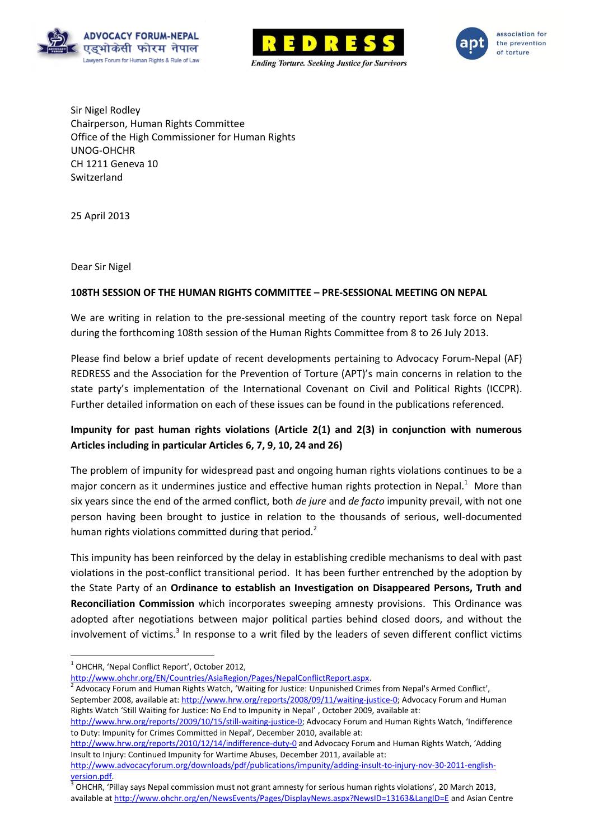





Sir Nigel Rodley Chairperson, Human Rights Committee Office of the High Commissioner for Human Rights UNOG-OHCHR CH 1211 Geneva 10 Switzerland

25 April 2013

Dear Sir Nigel

## **108TH SESSION OF THE HUMAN RIGHTS COMMITTEE – PRE-SESSIONAL MEETING ON NEPAL**

We are writing in relation to the pre-sessional meeting of the country report task force on Nepal during the forthcoming 108th session of the Human Rights Committee from 8 to 26 July 2013.

Please find below a brief update of recent developments pertaining to Advocacy Forum-Nepal (AF) REDRESS and the Association for the Prevention of Torture (APT)'s main concerns in relation to the state party's implementation of the International Covenant on Civil and Political Rights (ICCPR). Further detailed information on each of these issues can be found in the publications referenced.

# **Impunity for past human rights violations (Article 2(1) and 2(3) in conjunction with numerous Articles including in particular Articles 6, 7, 9, 10, 24 and 26)**

The problem of impunity for widespread past and ongoing human rights violations continues to be a major concern as it undermines justice and effective human rights protection in Nepal.<sup>1</sup> More than six years since the end of the armed conflict, both *de jure* and *de facto* impunity prevail, with not one person having been brought to justice in relation to the thousands of serious, well-documented human rights violations committed during that period.<sup>2</sup>

This impunity has been reinforced by the delay in establishing credible mechanisms to deal with past violations in the post-conflict transitional period. It has been further entrenched by the adoption by the State Party of an **Ordinance to establish an Investigation on Disappeared Persons, Truth and Reconciliation Commission** which incorporates sweeping amnesty provisions. This Ordinance was adopted after negotiations between major political parties behind closed doors, and without the involvement of victims.<sup>3</sup> In response to a writ filed by the leaders of seven different conflict victims

Advocacy Forum and Human Rights Watch, 'Waiting for Justice: Unpunished Crimes from Nepal's Armed Conflict', September 2008, available at: [http://www.hrw.org/reports/2008/09/11/waiting-justice-0;](http://www.hrw.org/reports/2008/09/11/waiting-justice-0) Advocacy Forum and Human

<http://www.hrw.org/reports/2010/12/14/indifference-duty-0> and Advocacy Forum and Human Rights Watch, 'Adding Insult to Injury: Continued Impunity for Wartime Abuses, December 2011, available at:

 $\overline{\phantom{a}}$ <sup>1</sup> OHCHR, 'Nepal Conflict Report', October 2012,

[http://www.ohchr.org/EN/Countries/AsiaRegion/Pages/NepalConflictReport.aspx.](http://www.ohchr.org/EN/Countries/AsiaRegion/Pages/NepalConflictReport.aspx)<br>2. Advasseu Ferum and Uuman Bishts Watsh. Weiting for Justice: Unquaished Crim

Rights Watch 'Still Waiting for Justice: No End to Impunity in Nepal' , October 2009, available at:

<http://www.hrw.org/reports/2009/10/15/still-waiting-justice-0>; Advocacy Forum and Human Rights Watch, 'Indifference to Duty: Impunity for Crimes Committed in Nepal', December 2010, available at:

[http://www.advocacyforum.org/downloads/pdf/publications/impunity/adding-insult-to-injury-nov-30-2011-english](http://www.advocacyforum.org/downloads/pdf/publications/impunity/adding-insult-to-injury-nov-30-2011-english-version.pdf)[version.pdf.](http://www.advocacyforum.org/downloads/pdf/publications/impunity/adding-insult-to-injury-nov-30-2011-english-version.pdf)

 $^3$  OHCHR, 'Pillay says Nepal commission must not grant amnesty for serious human rights violations', 20 March 2013, available a[t http://www.ohchr.org/en/NewsEvents/Pages/DisplayNews.aspx?NewsID=13163&LangID=E](http://www.ohchr.org/en/NewsEvents/Pages/DisplayNews.aspx?NewsID=13163&LangID=E) and Asian Centre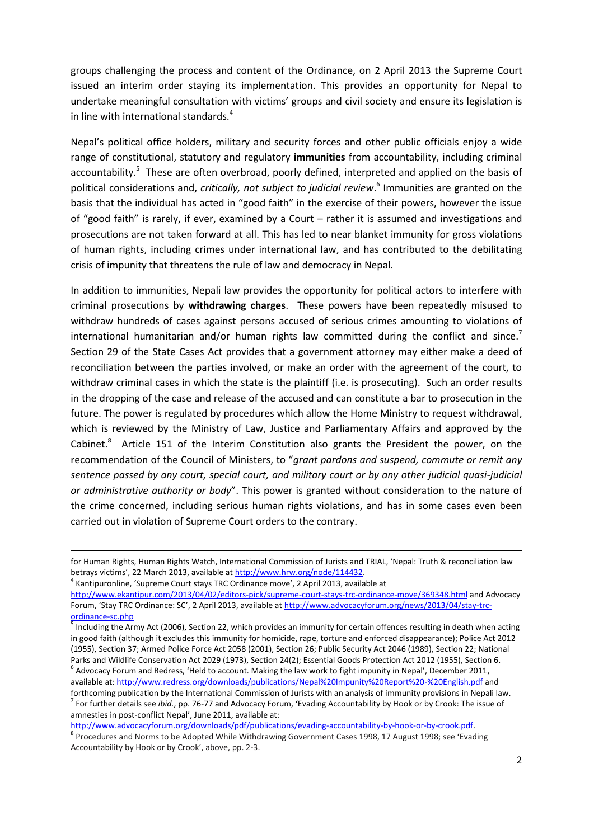groups challenging the process and content of the Ordinance, on 2 April 2013 the Supreme Court issued an interim order staying its implementation. This provides an opportunity for Nepal to undertake meaningful consultation with victims' groups and civil society and ensure its legislation is in line with international standards.<sup>4</sup>

<span id="page-1-0"></span>Nepal's political office holders, military and security forces and other public officials enjoy a wide range of constitutional, statutory and regulatory **immunities** from accountability, including criminal accountability.<sup>5</sup> These are often overbroad, poorly defined, interpreted and applied on the basis of political considerations and, *critically, not subject to judicial review*. 6 Immunities are granted on the basis that the individual has acted in "good faith" in the exercise of their powers, however the issue of "good faith" is rarely, if ever, examined by a Court – rather it is assumed and investigations and prosecutions are not taken forward at all. This has led to near blanket immunity for gross violations of human rights, including crimes under international law, and has contributed to the debilitating crisis of impunity that threatens the rule of law and democracy in Nepal.

In addition to immunities, Nepali law provides the opportunity for political actors to interfere with criminal prosecutions by **withdrawing charges**. These powers have been repeatedly misused to withdraw hundreds of cases against persons accused of serious crimes amounting to violations of international humanitarian and/or human rights law committed during the conflict and since.<sup>7</sup> Section 29 of the State Cases Act provides that a government attorney may either make a deed of reconciliation between the parties involved, or make an order with the agreement of the court, to withdraw criminal cases in which the state is the plaintiff (i.e. is prosecuting). Such an order results in the dropping of the case and release of the accused and can constitute a bar to prosecution in the future. The power is regulated by procedures which allow the Home Ministry to request withdrawal, which is reviewed by the Ministry of Law, Justice and Parliamentary Affairs and approved by the Cabinet. ${}^{8}$  Article 151 of the Interim Constitution also grants the President the power, on the recommendation of the Council of Ministers, to "*grant pardons and suspend, commute or remit any sentence passed by any court, special court, and military court or by any other judicial quasi-judicial or administrative authority or body*". This power is granted without consideration to the nature of the crime concerned, including serious human rights violations, and has in some cases even been carried out in violation of Supreme Court orders to the contrary.

for Human Rights, Human Rights Watch, International Commission of Jurists and TRIAL, 'Nepal: Truth & reconciliation law betrays victims', 22 March 2013, available at [http://www.hrw.org/node/114432.](http://www.hrw.org/node/114432)

<sup>&</sup>lt;sup>4</sup> Kantipuronline, 'Supreme Court stays TRC Ordinance move', 2 April 2013, available at

<http://www.ekantipur.com/2013/04/02/editors-pick/supreme-court-stays-trc-ordinance-move/369348.html> and Advocacy Forum, 'Stay TRC Ordinance: SC', 2 April 2013, available at [http://www.advocacyforum.org/news/2013/04/stay-trc](http://www.advocacyforum.org/news/2013/04/stay-trc-ordinance-sc.php)[ordinance-sc.php](http://www.advocacyforum.org/news/2013/04/stay-trc-ordinance-sc.php)<br>
<sup>5</sup> Including the Ar

Including the Army Act (2006), Section 22, which provides an immunity for certain offences resulting in death when acting in good faith (although it excludes this immunity for homicide, rape, torture and enforced disappearance); Police Act 2012 (1955), Section 37; Armed Police Force Act 2058 (2001), Section 26; Public Security Act 2046 (1989), Section 22; National Parks and Wildlife Conservation Act 2029 (1973), Section 24(2); Essential Goods Protection Act 2012 (1955), Section 6.

 $^6$  Advocacy Forum and Redress, 'Held to account. Making the law work to fight impunity in Nepal', December 2011, available at:<http://www.redress.org/downloads/publications/Nepal%20Impunity%20Report%20-%20English.pdf> and forthcoming publication by the International Commission of Jurists with an analysis of immunity provisions in Nepali law.

<sup>7</sup> For further details see *ibid.*, pp. 76-77 and Advocacy Forum, 'Evading Accountability by Hook or by Crook: The issue of amnesties in post-conflict Nepal', June 2011, available at: [http://www.advocacyforum.org/downloads/pdf/publications/evading-accountability-by-hook-or-by-crook.pdf.](http://www.advocacyforum.org/downloads/pdf/publications/evading-accountability-by-hook-or-by-crook.pdf)

<sup>&</sup>lt;sup>8</sup> Procedures and Norms to be Adopted While Withdrawing Government Cases 1998, 17 August 1998; see 'Evading Accountability by Hook or by Crook', above, pp. 2-3.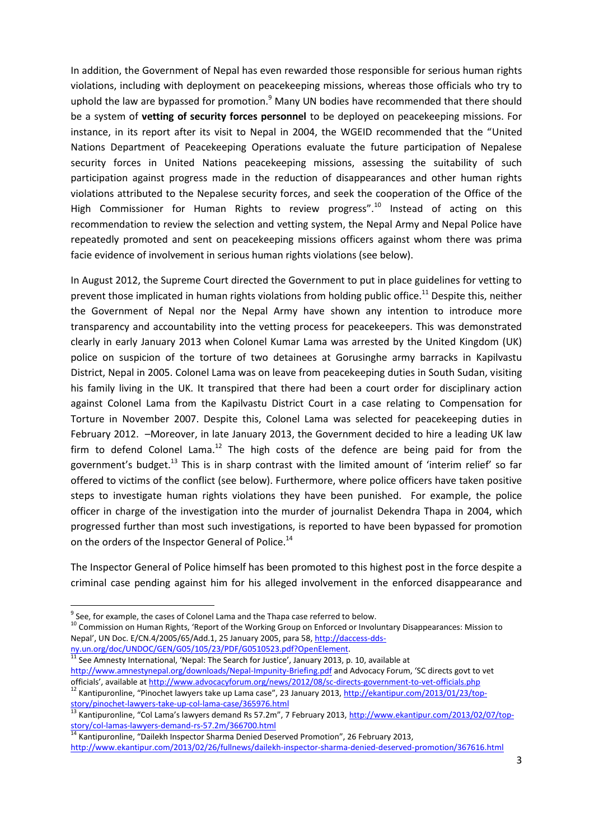In addition, the Government of Nepal has even rewarded those responsible for serious human rights violations, including with deployment on peacekeeping missions, whereas those officials who try to uphold the law are bypassed for promotion.<sup>9</sup> Many UN bodies have recommended that there should be a system of **vetting of security forces personnel** to be deployed on peacekeeping missions. For instance, in its report after its visit to Nepal in 2004, the WGEID recommended that the "United Nations Department of Peacekeeping Operations evaluate the future participation of Nepalese security forces in United Nations peacekeeping missions, assessing the suitability of such participation against progress made in the reduction of disappearances and other human rights violations attributed to the Nepalese security forces, and seek the cooperation of the Office of the High Commissioner for Human Rights to review progress".<sup>10</sup> Instead of acting on this recommendation to review the selection and vetting system, the Nepal Army and Nepal Police have repeatedly promoted and sent on peacekeeping missions officers against whom there was prima facie evidence of involvement in serious human rights violations (see below).

In August 2012, the Supreme Court directed the Government to put in place guidelines for vetting to prevent those implicated in human rights violations from holding public office.<sup>11</sup> Despite this, neither the Government of Nepal nor the Nepal Army have shown any intention to introduce more transparency and accountability into the vetting process for peacekeepers. This was demonstrated clearly in early January 2013 when Colonel Kumar Lama was arrested by the United Kingdom (UK) police on suspicion of the torture of two detainees at Gorusinghe army barracks in Kapilvastu District, Nepal in 2005. Colonel Lama was on leave from peacekeeping duties in South Sudan, visiting his family living in the UK. It transpired that there had been a court order for disciplinary action against Colonel Lama from the Kapilvastu District Court in a case relating to Compensation for Torture in November 2007. Despite this, Colonel Lama was selected for peacekeeping duties in February 2012. –Moreover, in late January 2013, the Government decided to hire a leading UK law firm to defend Colonel Lama.<sup>12</sup> The high costs of the defence are being paid for from the government's budget.<sup>13</sup> This is in sharp contrast with the limited amount of 'interim relief' so far offered to victims of the conflict (see below). Furthermore, where police officers have taken positive steps to investigate human rights violations they have been punished. For example, the police officer in charge of the investigation into the murder of journalist Dekendra Thapa in 2004, which progressed further than most such investigations, is reported to have been bypassed for promotion on the orders of the Inspector General of Police.<sup>14</sup>

The Inspector General of Police himself has been promoted to this highest post in the force despite a criminal case pending against him for his alleged involvement in the enforced disappearance and

 $\overline{a}$ 

See Amnesty International, 'Nepal: The Search for Justice', January 2013, p. 10, available at <http://www.amnestynepal.org/downloads/Nepal-Impunity-Briefing.pdf> and Advocacy Forum, 'SC directs govt to vet officials', available at <http://www.advocacyforum.org/news/2012/08/sc-directs-government-to-vet-officials.php>

<sup>12</sup> Kantipuronline, "Pinochet lawyers take up Lama case", 23 January 2013, [http://ekantipur.com/2013/01/23/top](http://ekantipur.com/2013/01/23/top-story/pinochet-lawyers-take-up-col-lama-case/365976.html)[story/pinochet-lawyers-take-up-col-lama-case/365976.html](http://ekantipur.com/2013/01/23/top-story/pinochet-lawyers-take-up-col-lama-case/365976.html)

 $^9$  See, for example, the cases of Colonel Lama and the Thapa case referred to below.

<sup>&</sup>lt;sup>10</sup> Commission on Human Rights, 'Report of the Working Group on Enforced or Involuntary Disappearances: Mission to Nepal', UN Doc. E/CN.4/2005/65/Add.1, 25 January 2005, para 58[, http://daccess-dds](http://daccess-dds-ny.un.org/doc/UNDOC/GEN/G05/105/23/PDF/G0510523.pdf?OpenElement)[ny.un.org/doc/UNDOC/GEN/G05/105/23/PDF/G0510523.pdf?OpenElement.](http://daccess-dds-ny.un.org/doc/UNDOC/GEN/G05/105/23/PDF/G0510523.pdf?OpenElement)<br>11.c

<sup>13</sup> Kantipuronline, "Col Lama's lawyers demand Rs 57.2m", 7 February 2013, [http://www.ekantipur.com/2013/02/07/top](http://www.ekantipur.com/2013/02/07/top-story/col-lamas-lawyers-demand-rs-57.2m/366700.html)[story/col-lamas-lawyers-demand-rs-57.2m/366700.html](http://www.ekantipur.com/2013/02/07/top-story/col-lamas-lawyers-demand-rs-57.2m/366700.html)

<sup>&</sup>lt;sup>14</sup> Kantipuronline, "Dailekh Inspector Sharma Denied Deserved Promotion", 26 February 2013, <http://www.ekantipur.com/2013/02/26/fullnews/dailekh-inspector-sharma-denied-deserved-promotion/367616.html>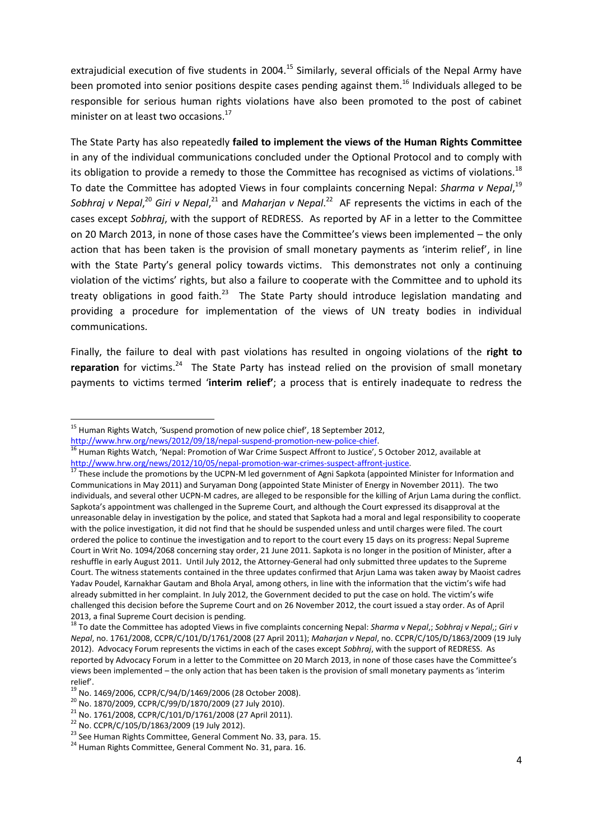extrajudicial execution of five students in 2004.<sup>15</sup> Similarly, several officials of the Nepal Army have been promoted into senior positions despite cases pending against them.<sup>16</sup> Individuals alleged to be responsible for serious human rights violations have also been promoted to the post of cabinet minister on at least two occasions.<sup>17</sup>

The State Party has also repeatedly **failed to implement the views of the Human Rights Committee** in any of the individual communications concluded under the Optional Protocol and to comply with its obligation to provide a remedy to those the Committee has recognised as victims of violations.<sup>18</sup> To date the Committee has adopted Views in four complaints concerning Nepal: *Sharma v Nepal*, 19 Sobhraj v Nepal,<sup>20</sup> Giri v Nepal,<sup>21</sup> and Maharjan v Nepal.<sup>22</sup> AF represents the victims in each of the cases except *Sobhraj*, with the support of REDRESS. As reported by AF in a letter to the Committee on 20 March 2013, in none of those cases have the Committee's views been implemented – the only action that has been taken is the provision of small monetary payments as 'interim relief', in line with the State Party's general policy towards victims. This demonstrates not only a continuing violation of the victims' rights, but also a failure to cooperate with the Committee and to uphold its treaty obligations in good faith.<sup>23</sup> The State Party should introduce legislation mandating and providing a procedure for implementation of the views of UN treaty bodies in individual communications.

Finally, the failure to deal with past violations has resulted in ongoing violations of the **right to**  reparation for victims.<sup>24</sup> The State Party has instead relied on the provision of small monetary payments to victims termed '**interim relief'**; a process that is entirely inadequate to redress the

[http://www.hrw.org/news/2012/09/18/nepal-suspend-promotion-new-police-chief.](http://www.hrw.org/news/2012/09/18/nepal-suspend-promotion-new-police-chief)

<sup>&</sup>lt;sup>15</sup> Human Rights Watch, 'Suspend promotion of new police chief', 18 September 2012,

<sup>&</sup>lt;sup>16</sup> Human Rights Watch, 'Nepal: Promotion of War Crime Suspect Affront to Justice', 5 October 2012, available at [http://www.hrw.org/news/2012/10/05/nepal-promotion-war-crimes-suspect-affront-justice.](http://www.hrw.org/news/2012/10/05/nepal-promotion-war-crimes-suspect-affront-justice)

<sup>&</sup>lt;sup>17</sup> These include the promotions by the UCPN-M led government of Agni Sapkota (appointed Minister for Information and Communications in May 2011) and Suryaman Dong (appointed State Minister of Energy in November 2011). The two individuals, and several other UCPN-M cadres, are alleged to be responsible for the killing of Arjun Lama during the conflict. Sapkota's appointment was challenged in the Supreme Court, and although the Court expressed its disapproval at the unreasonable delay in investigation by the police, and stated that Sapkota had a moral and legal responsibility to cooperate with the police investigation, it did not find that he should be suspended unless and until charges were filed. The court ordered the police to continue the investigation and to report to the court every 15 days on its progress: Nepal Supreme Court in Writ No. 1094/2068 concerning stay order, 21 June 2011. Sapkota is no longer in the position of Minister, after a reshuffle in early August 2011. Until July 2012, the Attorney-General had only submitted three updates to the Supreme Court. The witness statements contained in the three updates confirmed that Arjun Lama was taken away by Maoist cadres Yadav Poudel, Karnakhar Gautam and Bhola Aryal, among others, in line with the information that the victim's wife had already submitted in her complaint. In July 2012, the Government decided to put the case on hold. The victim's wife challenged this decision before the Supreme Court and on 26 November 2012, the court issued a stay order. As of April 2013, a final Supreme Court decision is pending.

<sup>18</sup> To date the Committee has adopted Views in five complaints concerning Nepal: *Sharma v Nepal*,; *Sobhraj v Nepal*,; *Giri v Nepal*, no. 1761/2008, CCPR/C/101/D/1761/2008 (27 April 2011); *Maharjan v Nepal*, no. CCPR/C/105/D/1863/2009 (19 July 2012). Advocacy Forum represents the victims in each of the cases except *Sobhraj*, with the support of REDRESS. As reported by Advocacy Forum in a letter to the Committee on 20 March 2013, in none of those cases have the Committee's views been implemented – the only action that has been taken is the provision of small monetary payments as 'interim relief'.

<sup>19</sup> No. 1469/2006, CCPR/C/94/D/1469/2006 (28 October 2008).

<sup>20</sup> No. 1870/2009, CCPR/C/99/D/1870/2009 (27 July 2010).

<sup>21</sup> No. 1761/2008, CCPR/C/101/D/1761/2008 (27 April 2011).

<sup>22</sup> No. CCPR/C/105/D/1863/2009 (19 July 2012).

<sup>&</sup>lt;sup>23</sup> See Human Rights Committee, General Comment No. 33, para. 15.

<sup>&</sup>lt;sup>24</sup> Human Rights Committee, General Comment No. 31, para. 16.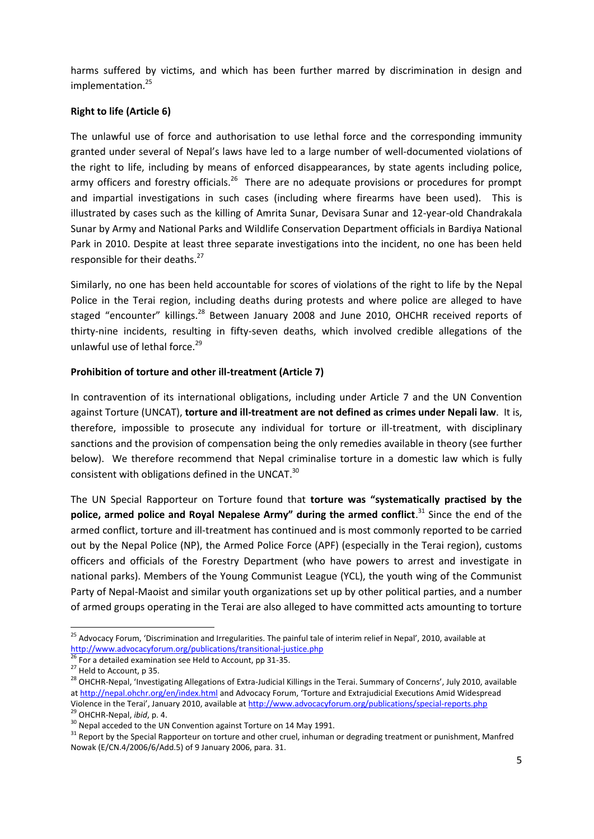harms suffered by victims, and which has been further marred by discrimination in design and implementation.<sup>25</sup>

## **Right to life (Article 6)**

The unlawful use of force and authorisation to use lethal force and the corresponding immunity granted under several of Nepal's laws have led to a large number of well-documented violations of the right to life, including by means of enforced disappearances, by state agents including police, army officers and forestry officials.<sup>26</sup> There are no adequate provisions or procedures for prompt and impartial investigations in such cases (including where firearms have been used). This is illustrated by cases such as the killing of Amrita Sunar, Devisara Sunar and 12-year-old Chandrakala Sunar by Army and National Parks and Wildlife Conservation Department officials in Bardiya National Park in 2010. Despite at least three separate investigations into the incident, no one has been held responsible for their deaths.<sup>27</sup>

Similarly, no one has been held accountable for scores of violations of the right to life by the Nepal Police in the Terai region, including deaths during protests and where police are alleged to have staged "encounter" killings.<sup>28</sup> Between January 2008 and June 2010, OHCHR received reports of thirty-nine incidents, resulting in fifty-seven deaths, which involved credible allegations of the unlawful use of lethal force. $29$ 

## **Prohibition of torture and other ill-treatment (Article 7)**

In contravention of its international obligations, including under Article 7 and the UN Convention against Torture (UNCAT), **torture and ill-treatment are not defined as crimes under Nepali law**. It is, therefore, impossible to prosecute any individual for torture or ill-treatment, with disciplinary sanctions and the provision of compensation being the only remedies available in theory (see further below). We therefore recommend that Nepal criminalise torture in a domestic law which is fully consistent with obligations defined in the UNCAT. $^{30}$ 

The UN Special Rapporteur on Torture found that **torture was "systematically practised by the police, armed police and Royal Nepalese Army" during the armed conflict**. <sup>31</sup> Since the end of the armed conflict, torture and ill-treatment has continued and is most commonly reported to be carried out by the Nepal Police (NP), the Armed Police Force (APF) (especially in the Terai region), customs officers and officials of the Forestry Department (who have powers to arrest and investigate in national parks). Members of the Young Communist League (YCL), the youth wing of the Communist Party of Nepal-Maoist and similar youth organizations set up by other political parties, and a number of armed groups operating in the Terai are also alleged to have committed acts amounting to torture

<sup>&</sup>lt;sup>25</sup> Advocacy Forum, 'Discrimination and Irregularities. The painful tale of interim relief in Nepal', 2010, available at <http://www.advocacyforum.org/publications/transitional-justice.php>

<sup>26</sup> For a detailed examination see Held to Account, pp 31-35.

<sup>&</sup>lt;sup>27</sup> Held to Account, p 35.

<sup>&</sup>lt;sup>28</sup> OHCHR-Nepal, 'Investigating Allegations of Extra-Judicial Killings in the Terai. Summary of Concerns', July 2010, available a[t http://nepal.ohchr.org/en/index.html](http://nepal.ohchr.org/en/index.html) and Advocacy Forum, 'Torture and Extrajudicial Executions Amid Widespread Violence in the Terai', January 2010, available at <http://www.advocacyforum.org/publications/special-reports.php>

<sup>29</sup> OHCHR-Nepal, *ibid*, p. 4.

<sup>&</sup>lt;sup>30</sup> Nepal acceded to the UN Convention against Torture on 14 May 1991.

<sup>&</sup>lt;sup>31</sup> Report by the Special Rapporteur on torture and other cruel, inhuman or degrading treatment or punishment, Manfred Nowak (E/CN.4/2006/6/Add.5) of 9 January 2006, para. 31.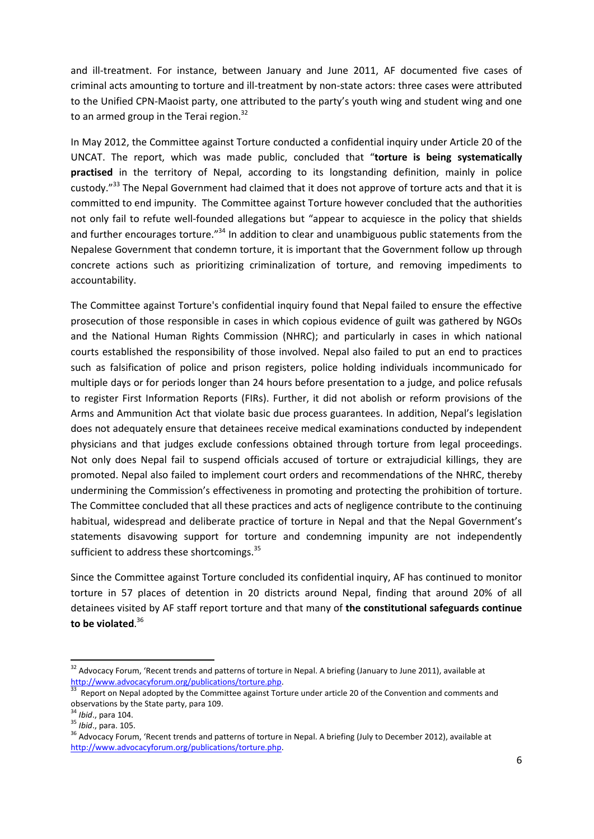and ill-treatment. For instance, between January and June 2011, AF documented five cases of criminal acts amounting to torture and ill-treatment by non-state actors: three cases were attributed to the Unified CPN-Maoist party, one attributed to the party's youth wing and student wing and one to an armed group in the Terai region.<sup>32</sup>

In May 2012, the Committee against Torture conducted a confidential inquiry under Article 20 of the UNCAT. The report, which was made public, concluded that "**torture is being systematically practised** in the territory of Nepal, according to its longstanding definition, mainly in police custody."<sup>33</sup> The Nepal Government had claimed that it does not approve of torture acts and that it is committed to end impunity. The Committee against Torture however concluded that the authorities not only fail to refute well-founded allegations but "appear to acquiesce in the policy that shields and further encourages torture."<sup>34</sup> In addition to clear and unambiguous public statements from the Nepalese Government that condemn torture, it is important that the Government follow up through concrete actions such as prioritizing criminalization of torture, and removing impediments to accountability.

The Committee against Torture's confidential inquiry found that Nepal failed to ensure the effective prosecution of those responsible in cases in which copious evidence of guilt was gathered by NGOs and the National Human Rights Commission (NHRC); and particularly in cases in which national courts established the responsibility of those involved. Nepal also failed to put an end to practices such as falsification of police and prison registers, police holding individuals incommunicado for multiple days or for periods longer than 24 hours before presentation to a judge, and police refusals to register First Information Reports (FIRs). Further, it did not abolish or reform provisions of the Arms and Ammunition Act that violate basic due process guarantees. In addition, Nepal's legislation does not adequately ensure that detainees receive medical examinations conducted by independent physicians and that judges exclude confessions obtained through torture from legal proceedings. Not only does Nepal fail to suspend officials accused of torture or extrajudicial killings, they are promoted. Nepal also failed to implement court orders and recommendations of the NHRC, thereby undermining the Commission's effectiveness in promoting and protecting the prohibition of torture. The Committee concluded that all these practices and acts of negligence contribute to the continuing habitual, widespread and deliberate practice of torture in Nepal and that the Nepal Government's statements disavowing support for torture and condemning impunity are not independently sufficient to address these shortcomings.<sup>35</sup>

Since the Committee against Torture concluded its confidential inquiry, AF has continued to monitor torture in 57 places of detention in 20 districts around Nepal, finding that around 20% of all detainees visited by AF staff report torture and that many of **the constitutional safeguards continue to be violated**. 36

<sup>&</sup>lt;sup>32</sup> Advocacy Forum, 'Recent trends and patterns of torture in Nepal. A briefing (January to June 2011), available at [http://www.advocacyforum.org/publications/torture.php.](http://www.advocacyforum.org/publications/torture.php) 

<sup>33</sup> Report on Nepal adopted by the Committee against Torture under article 20 of the Convention and comments and observations by the State party, para 109.

<sup>34</sup> *Ibid*., para 104.

<sup>35</sup> *Ibid*., para. 105.

<sup>&</sup>lt;sup>36</sup> Advocacy Forum, 'Recent trends and patterns of torture in Nepal. A briefing (July to December 2012), available at [http://www.advocacyforum.org/publications/torture.php.](http://www.advocacyforum.org/publications/torture.php)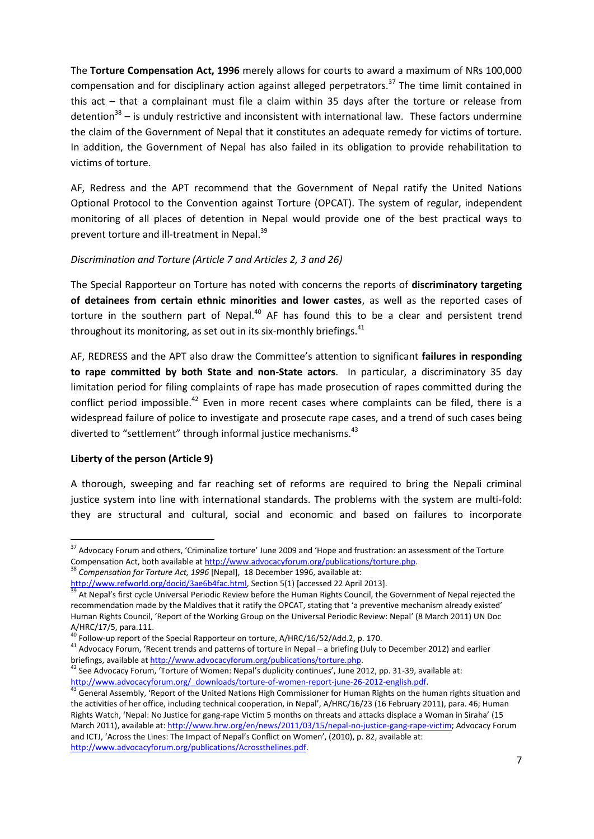The **Torture Compensation Act, 1996** merely allows for courts to award a maximum of NRs 100,000 compensation and for disciplinary action against alleged perpetrators.<sup>37</sup> The time limit contained in this act – that a complainant must file a claim within 35 days after the torture or release from detention<sup>38</sup> – is unduly restrictive and inconsistent with international law. These factors undermine the claim of the Government of Nepal that it constitutes an adequate remedy for victims of torture. In addition, the Government of Nepal has also failed in its obligation to provide rehabilitation to victims of torture.

AF, Redress and the APT recommend that the Government of Nepal ratify the United Nations Optional Protocol to the Convention against Torture (OPCAT). The system of regular, independent monitoring of all places of detention in Nepal would provide one of the best practical ways to prevent torture and ill-treatment in Nepal.<sup>39</sup>

## *Discrimination and Torture (Article 7 and Articles 2, 3 and 26)*

The Special Rapporteur on Torture has noted with concerns the reports of **discriminatory targeting of detainees from certain ethnic minorities and lower castes**, as well as the reported cases of torture in the southern part of Nepal. $40$  AF has found this to be a clear and persistent trend throughout its monitoring, as set out in its six-monthly briefings. $41$ 

AF, REDRESS and the APT also draw the Committee's attention to significant **failures in responding to rape committed by both State and non-State actors**. In particular, a discriminatory 35 day limitation period for filing complaints of rape has made prosecution of rapes committed during the conflict period impossible.<sup>42</sup> Even in more recent cases where complaints can be filed, there is a widespread failure of police to investigate and prosecute rape cases, and a trend of such cases being diverted to "settlement" through informal justice mechanisms.<sup>43</sup>

### **Liberty of the person (Article 9)**

 $\overline{a}$ 

A thorough, sweeping and far reaching set of reforms are required to bring the Nepali criminal justice system into line with international standards. The problems with the system are multi-fold: they are structural and cultural, social and economic and based on failures to incorporate

<sup>3</sup> Compensation for Torture Act, 1996 [Nepal], 18 December 1996, available at:

 $37$  Advocacy Forum and others, 'Criminalize torture' June 2009 and 'Hope and frustration: an assessment of the Torture Compensation Act, both available a[t http://www.advocacyforum.org/publications/torture.php.](http://www.advocacyforum.org/publications/torture.php)

[http://www.refworld.org/docid/3ae6b4fac.html,](http://www.refworld.org/docid/3ae6b4fac.html) Section 5(1) [accessed 22 April 2013].

<sup>&</sup>lt;sup>39</sup> At Nepal's first cycle Universal Periodic Review before the Human Rights Council, the Government of Nepal rejected the recommendation made by the Maldives that it ratify the OPCAT, stating that 'a preventive mechanism already existed' Human Rights Council, 'Report of the Working Group on the Universal Periodic Review: Nepal' (8 March 2011) UN Doc A/HRC/17/5, para.111.

 $^{40}$  Follow-up report of the Special Rapporteur on torture, A/HRC/16/52/Add.2, p. 170.

<sup>41</sup> Advocacy Forum, 'Recent trends and patterns of torture in Nepal – a briefing (July to December 2012) and earlier briefings, available a[t http://www.advocacyforum.org/publications/torture.php.](http://www.advocacyforum.org/publications/torture.php)

<sup>42</sup> See Advocacy Forum, 'Torture of Women: Nepal's duplicity continues', June 2012, pp. 31-39, available at: [http://www.advocacyforum.org/\\_downloads/torture-of-women-report-june-26-2012-english.pdf.](http://www.advocacyforum.org/_downloads/torture-of-women-report-june-26-2012-english.pdf)

<sup>43</sup> General Assembly, 'Report of the United Nations High Commissioner for Human Rights on the human rights situation and the activities of her office, including technical cooperation, in Nepal', A/HRC/16/23 (16 February 2011), para. 46; Human Rights Watch, 'Nepal: No Justice for gang-rape Victim 5 months on threats and attacks displace a Woman in Siraha' (15 March 2011), available at: [http://www.hrw.org/en/news/2011/03/15/nepal-no-justice-gang-rape-victim;](http://www.hrw.org/en/news/2011/03/15/nepal-no-justice-gang-rape-victim) Advocacy Forum and ICTJ, 'Across the Lines: The Impact of Nepal's Conflict on Women', (2010), p. 82, available at: [http://www.advocacyforum.org/publications/Acrossthelines.pdf.](http://www.advocacyforum.org/publications/Acrossthelines.pdf)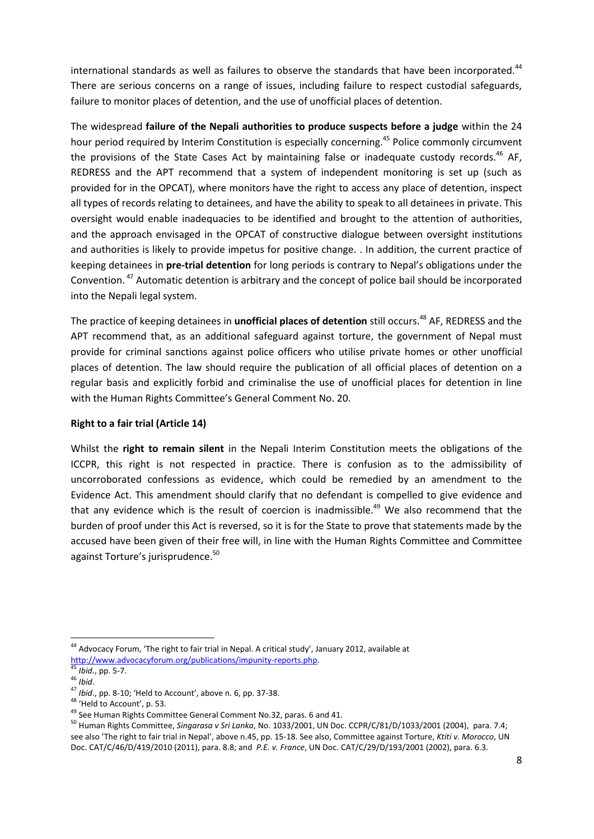international standards as well as failures to observe the standards that have been incorporated.<sup>44</sup> There are serious concerns on a range of issues, including failure to respect custodial safeguards, failure to monitor places of detention, and the use of unofficial places of detention.

<span id="page-7-0"></span>The widespread **failure of the Nepali authorities to produce suspects before a judge** within the 24 hour period required by Interim Constitution is especially concerning.<sup>45</sup> Police commonly circumvent the provisions of the State Cases Act by maintaining false or inadequate custody records.<sup>46</sup> AF, REDRESS and the APT recommend that a system of independent monitoring is set up (such as provided for in the OPCAT), where monitors have the right to access any place of detention, inspect all types of records relating to detainees, and have the ability to speak to all detainees in private. This oversight would enable inadequacies to be identified and brought to the attention of authorities, and the approach envisaged in the OPCAT of constructive dialogue between oversight institutions and authorities is likely to provide impetus for positive change. . In addition, the current practice of keeping detainees in **pre-trial detention** for long periods is contrary to Nepal's obligations under the Convention.<sup>47</sup> Automatic detention is arbitrary and the concept of police bail should be incorporated into the Nepali legal system.

The practice of keeping detainees in **unofficial places of detention** still occurs. <sup>48</sup> AF, REDRESS and the APT recommend that, as an additional safeguard against torture, the government of Nepal must provide for criminal sanctions against police officers who utilise private homes or other unofficial places of detention. The law should require the publication of all official places of detention on a regular basis and explicitly forbid and criminalise the use of unofficial places for detention in line with the Human Rights Committee's General Comment No. 20.

### **Right to a fair trial (Article 14)**

Whilst the **right to remain silent** in the Nepali Interim Constitution meets the obligations of the ICCPR, this right is not respected in practice. There is confusion as to the admissibility of uncorroborated confessions as evidence, which could be remedied by an amendment to the Evidence Act. This amendment should clarify that no defendant is compelled to give evidence and that any evidence which is the result of coercion is inadmissible.<sup>49</sup> We also recommend that the burden of proof under this Act is reversed, so it is for the State to prove that statements made by the accused have been given of their free will, in line with the Human Rights Committee and Committee against Torture's jurisprudence.<sup>50</sup>

 $^{44}$  Advocacy Forum, 'The right to fair trial in Nepal. A critical study', January 2012, available at [http://www.advocacyforum.org/publications/impunity-reports.php.](http://www.advocacyforum.org/publications/impunity-reports.php)

*Ibid.*, pp. 5-7.

<sup>46</sup> *Ibid*.

<sup>47</sup> *Ibid*., pp. 8-10; 'Held to Account', above n. [6,](#page-1-0) pp. 37-38.

<sup>48 &#</sup>x27;Held to Account', p. 53.

<sup>49</sup> See Human Rights Committee General Comment No.32, paras. 6 and 41.

<sup>50</sup> Human Rights Committee, *Singarasa v Sri Lanka*, No. 1033/2001, UN Doc. CCPR/C/81/D/1033/2001 (2004), para. 7.4; see also 'The right to fair trial in Nepal', above n.[45,](#page-7-0) pp. 15-18. See also, Committee against Torture, *Ktiti v. Morocco*, UN Doc. CAT/C/46/D/419/2010 (2011), para. 8.8; and *P.E. v. France*, UN Doc. CAT/C/29/D/193/2001 (2002), para. 6.3.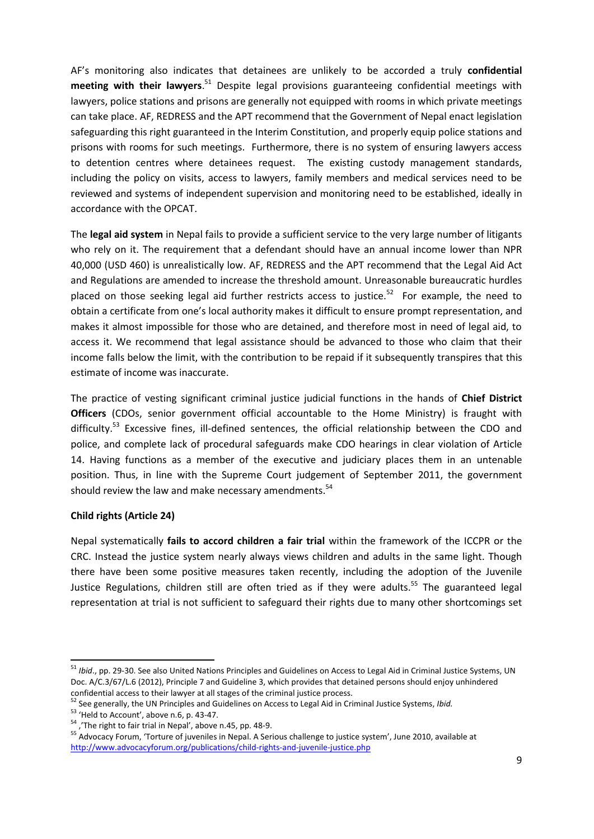AF's monitoring also indicates that detainees are unlikely to be accorded a truly **confidential meeting with their lawyers**. <sup>51</sup> Despite legal provisions guaranteeing confidential meetings with lawyers, police stations and prisons are generally not equipped with rooms in which private meetings can take place. AF, REDRESS and the APT recommend that the Government of Nepal enact legislation safeguarding this right guaranteed in the Interim Constitution, and properly equip police stations and prisons with rooms for such meetings. Furthermore, there is no system of ensuring lawyers access to detention centres where detainees request. The existing custody management standards, including the policy on visits, access to lawyers, family members and medical services need to be reviewed and systems of independent supervision and monitoring need to be established, ideally in accordance with the OPCAT.

The **legal aid system** in Nepal fails to provide a sufficient service to the very large number of litigants who rely on it. The requirement that a defendant should have an annual income lower than NPR 40,000 (USD 460) is unrealistically low. AF, REDRESS and the APT recommend that the Legal Aid Act and Regulations are amended to increase the threshold amount. Unreasonable bureaucratic hurdles placed on those seeking legal aid further restricts access to justice.<sup>52</sup> For example, the need to obtain a certificate from one's local authority makes it difficult to ensure prompt representation, and makes it almost impossible for those who are detained, and therefore most in need of legal aid, to access it. We recommend that legal assistance should be advanced to those who claim that their income falls below the limit, with the contribution to be repaid if it subsequently transpires that this estimate of income was inaccurate.

The practice of vesting significant criminal justice judicial functions in the hands of **Chief District Officers** (CDOs, senior government official accountable to the Home Ministry) is fraught with difficulty.<sup>53</sup> Excessive fines, ill-defined sentences, the official relationship between the CDO and police, and complete lack of procedural safeguards make CDO hearings in clear violation of Article 14. Having functions as a member of the executive and judiciary places them in an untenable position. Thus, in line with the Supreme Court judgement of September 2011, the government should review the law and make necessary amendments.<sup>54</sup>

### **Child rights (Article 24)**

 $\overline{\phantom{a}}$ 

Nepal systematically **fails to accord children a fair trial** within the framework of the ICCPR or the CRC. Instead the justice system nearly always views children and adults in the same light. Though there have been some positive measures taken recently, including the adoption of the Juvenile Justice Regulations, children still are often tried as if they were adults.<sup>55</sup> The guaranteed legal representation at trial is not sufficient to safeguard their rights due to many other shortcomings set

<sup>51</sup> *Ibid*., pp. 29-30. See also United Nations Principles and Guidelines on Access to Legal Aid in Criminal Justice Systems, UN Doc. A/C.3/67/L.6 (2012), Principle 7 and Guideline 3, which provides that detained persons should enjoy unhindered confidential access to their lawyer at all stages of the criminal justice process.

<sup>52</sup> See generally, the UN Principles and Guidelines on Access to Legal Aid in Criminal Justice Systems, *Ibid.*

<sup>53</sup> 'Held to Account', above n.[6,](#page-1-0) p. 43-47.

<sup>&</sup>lt;sup>54</sup> ,'The right to fair trial in Nepal', above n.[45,](#page-7-0) pp. 48-9.

<sup>&</sup>lt;sup>55</sup> Advocacy Forum, 'Torture of juveniles in Nepal. A Serious challenge to justice system', June 2010, available at <http://www.advocacyforum.org/publications/child-rights-and-juvenile-justice.php>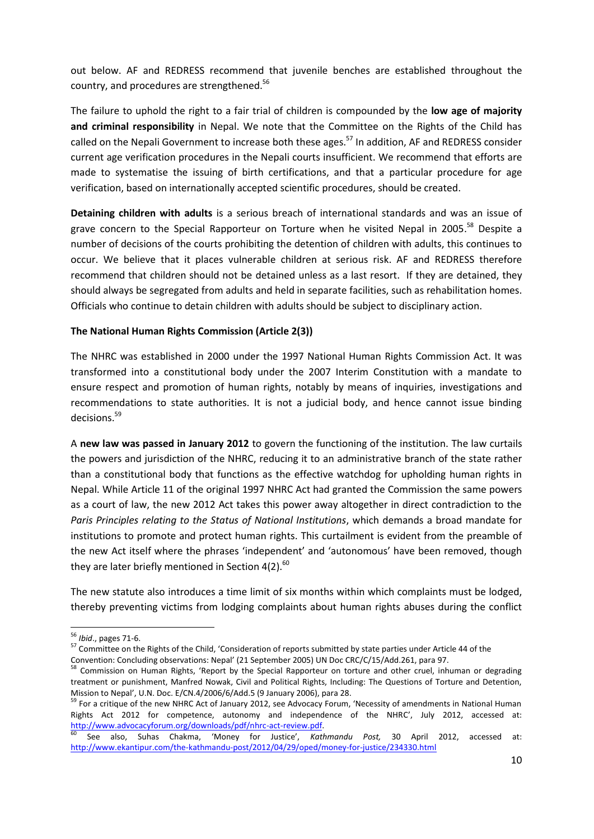out below. AF and REDRESS recommend that juvenile benches are established throughout the country, and procedures are strengthened.<sup>56</sup>

The failure to uphold the right to a fair trial of children is compounded by the **low age of majority and criminal responsibility** in Nepal. We note that the Committee on the Rights of the Child has called on the Nepali Government to increase both these ages.<sup>57</sup> In addition, AF and REDRESS consider current age verification procedures in the Nepali courts insufficient. We recommend that efforts are made to systematise the issuing of birth certifications, and that a particular procedure for age verification, based on internationally accepted scientific procedures, should be created.

**Detaining children with adults** is a serious breach of international standards and was an issue of grave concern to the Special Rapporteur on Torture when he visited Nepal in 2005.<sup>58</sup> Despite a number of decisions of the courts prohibiting the detention of children with adults, this continues to occur. We believe that it places vulnerable children at serious risk. AF and REDRESS therefore recommend that children should not be detained unless as a last resort. If they are detained, they should always be segregated from adults and held in separate facilities, such as rehabilitation homes. Officials who continue to detain children with adults should be subject to disciplinary action.

### **The National Human Rights Commission (Article 2(3))**

The NHRC was established in 2000 under the 1997 National Human Rights Commission Act. It was transformed into a constitutional body under the 2007 Interim Constitution with a mandate to ensure respect and promotion of human rights, notably by means of inquiries, investigations and recommendations to state authorities. It is not a judicial body, and hence cannot issue binding decisions.<sup>59</sup>

A **new law was passed in January 2012** to govern the functioning of the institution. The law curtails the powers and jurisdiction of the NHRC, reducing it to an administrative branch of the state rather than a constitutional body that functions as the effective watchdog for upholding human rights in Nepal. While Article 11 of the original 1997 NHRC Act had granted the Commission the same powers as a court of law, the new 2012 Act takes this power away altogether in direct contradiction to the *Paris Principles relating to the Status of National Institutions*, which demands a broad mandate for institutions to promote and protect human rights. This curtailment is evident from the preamble of the new Act itself where the phrases 'independent' and 'autonomous' have been removed, though they are later briefly mentioned in Section 4(2). $60$ 

The new statute also introduces a time limit of six months within which complaints must be lodged, thereby preventing victims from lodging complaints about human rights abuses during the conflict

<sup>56</sup> *Ibid*., pages 71-6.

<sup>&</sup>lt;sup>57</sup> Committee on the Rights of the Child, 'Consideration of reports submitted by state parties under Article 44 of the

Convention: Concluding observations: Nepal' (21 September 2005) UN Doc CRC/C/15/Add.261, para 97.

<sup>58</sup> Commission on Human Rights, 'Report by the Special Rapporteur on torture and other cruel, inhuman or degrading treatment or punishment, Manfred Nowak, Civil and Political Rights, Including: The Questions of Torture and Detention, Mission to Nepal', U.N. Doc. E/CN.4/2006/6/Add.5 (9 January 2006), para 28.

<sup>&</sup>lt;sup>59</sup> For a critique of the new NHRC Act of January 2012, see Advocacy Forum, 'Necessity of amendments in National Human Rights Act 2012 for competence, autonomy and independence of the NHRC', July 2012, accessed at: [http://www.advocacyforum.org/downloads/pdf/nhrc-act-review.pdf.](http://www.advocacyforum.org/downloads/pdf/nhrc-act-review.pdf)

<sup>60</sup> See also, Suhas Chakma, 'Money for Justice', *Kathmandu Post,* 30 April 2012, accessed at: <http://www.ekantipur.com/the-kathmandu-post/2012/04/29/oped/money-for-justice/234330.html>